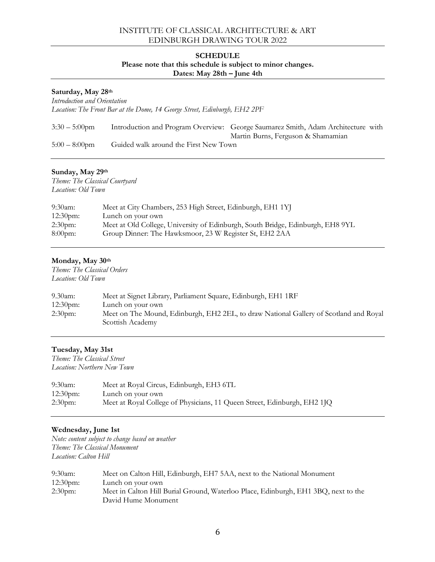## INSTITUTE OF CLASSICAL ARCHITECTURE & ART EDINBURGH DRAWING TOUR 2022

#### **SCHEDULE**

### **Please note that this schedule is subject to minor changes.**

**Dates: May 28th – June 4th**

| Saturday, May 28th<br>Introduction and Orientation<br>Location: The Front Bar at the Dome, 14 George Street, Edinburgh, EH2 2PF |                                       |                                                                                                                        |
|---------------------------------------------------------------------------------------------------------------------------------|---------------------------------------|------------------------------------------------------------------------------------------------------------------------|
| $3:30-5:00$ pm                                                                                                                  |                                       | Introduction and Program Overview: George Saumarez Smith, Adam Architecture with<br>Martin Burns, Ferguson & Shamamian |
| $5:00-8:00$ pm                                                                                                                  | Guided walk around the First New Town |                                                                                                                        |

# **Sunday, May 29th**

*Theme: The Classical Courtyard Location: Old Town*

| $9:30$ am:        | Meet at City Chambers, 253 High Street, Edinburgh, EH1 1YJ                     |
|-------------------|--------------------------------------------------------------------------------|
| $12:30 \text{pm}$ | Lunch on your own                                                              |
| $2:30 \text{pm}$  | Meet at Old College, University of Edinburgh, South Bridge, Edinburgh, EH8 9YL |
| $8:00$ pm:        | Group Dinner: The Hawksmoor, 23 W Register St, EH2 2AA                         |

#### **Monday, May 30th**

*Theme: The Classical Orders Location: Old Town*

| $9.30$ am:          | Meet at Signet Library, Parliament Square, Edinburgh, EH1 1RF                                             |
|---------------------|-----------------------------------------------------------------------------------------------------------|
| $12:30 \text{pm}$ : | Lunch on your own                                                                                         |
| $2:30$ pm:          | Meet on The Mound, Edinburgh, EH2 2EL, to draw National Gallery of Scotland and Royal<br>Scottish Academy |
|                     |                                                                                                           |

#### **Tuesday, May 31st**

*Theme: The Classical Street Location: Northern New Town*

| $9:30$ am:  | Meet at Royal Circus, Edinburgh, EH3 6TL                                 |
|-------------|--------------------------------------------------------------------------|
| $12:30$ pm: | Lunch on your own                                                        |
| $2:30$ pm:  | Meet at Royal College of Physicians, 11 Queen Street, Edinburgh, EH2 1JQ |

## **Wednesday, June 1st**

*Note: content subject to change based on weather Theme: The Classical Monument Location: Calton Hill*

| $9:30$ am:        | Meet on Calton Hill, Edinburgh, EH7 5AA, next to the National Monument             |
|-------------------|------------------------------------------------------------------------------------|
| $12:30 \text{pm}$ | Lunch on your own                                                                  |
| $2:30$ pm:        | Meet in Calton Hill Burial Ground, Waterloo Place, Edinburgh, EH1 3BQ, next to the |
|                   | David Hume Monument                                                                |